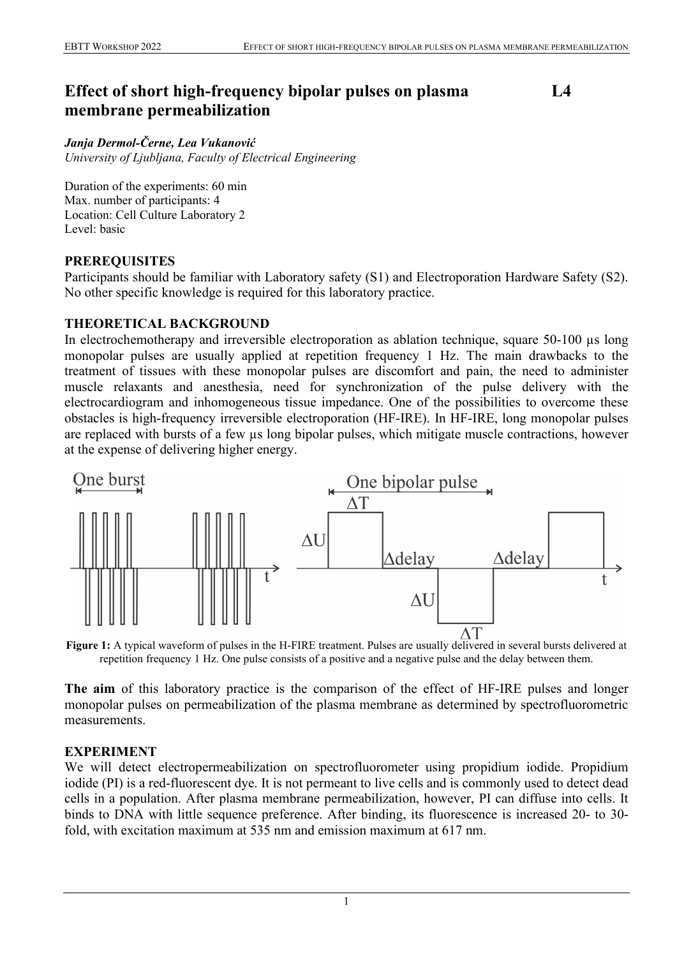# **Effect of short high-frequency bipolar pulses on plasma membrane permeabilization**

**L4**

#### *Janja Dermol-Černe, Lea Vukanović*

*University of Ljubljana, Faculty of Electrical Engineering*

Duration of the experiments: 60 min Max. number of participants: 4 Location: Cell Culture Laboratory 2 Level: basic

#### **PREREQUISITES**

Participants should be familiar with Laboratory safety (S1) and Electroporation Hardware Safety (S2). No other specific knowledge is required for this laboratory practice.

#### **THEORETICAL BACKGROUND**

In electrochemotherapy and irreversible electroporation as ablation technique, square 50-100 µs long monopolar pulses are usually applied at repetition frequency 1 Hz. The main drawbacks to the treatment of tissues with these monopolar pulses are discomfort and pain, the need to administer muscle relaxants and anesthesia, need for synchronization of the pulse delivery with the electrocardiogram and inhomogeneous tissue impedance. One of the possibilities to overcome these obstacles is high-frequency irreversible electroporation (HF-IRE). In HF-IRE, long monopolar pulses are replaced with bursts of a few µs long bipolar pulses, which mitigate muscle contractions, however at the expense of delivering higher energy.



**Figure 1:** A typical waveform of pulses in the H-FIRE treatment. Pulses are usually delivered in several bursts delivered at repetition frequency 1 Hz. One pulse consists of a positive and a negative pulse and the delay between them.

**The aim** of this laboratory practice is the comparison of the effect of HF-IRE pulses and longer monopolar pulses on permeabilization of the plasma membrane as determined by spectrofluorometric measurements.

### **EXPERIMENT**

We will detect electropermeabilization on spectrofluorometer using propidium iodide. Propidium iodide (PI) is a red-fluorescent dye. It is not permeant to live cells and is commonly used to detect dead cells in a population. After plasma membrane permeabilization, however, PI can diffuse into cells. It binds to DNA with little sequence preference. After binding, its fluorescence is increased 20- to 30 fold, with excitation maximum at 535 nm and emission maximum at 617 nm.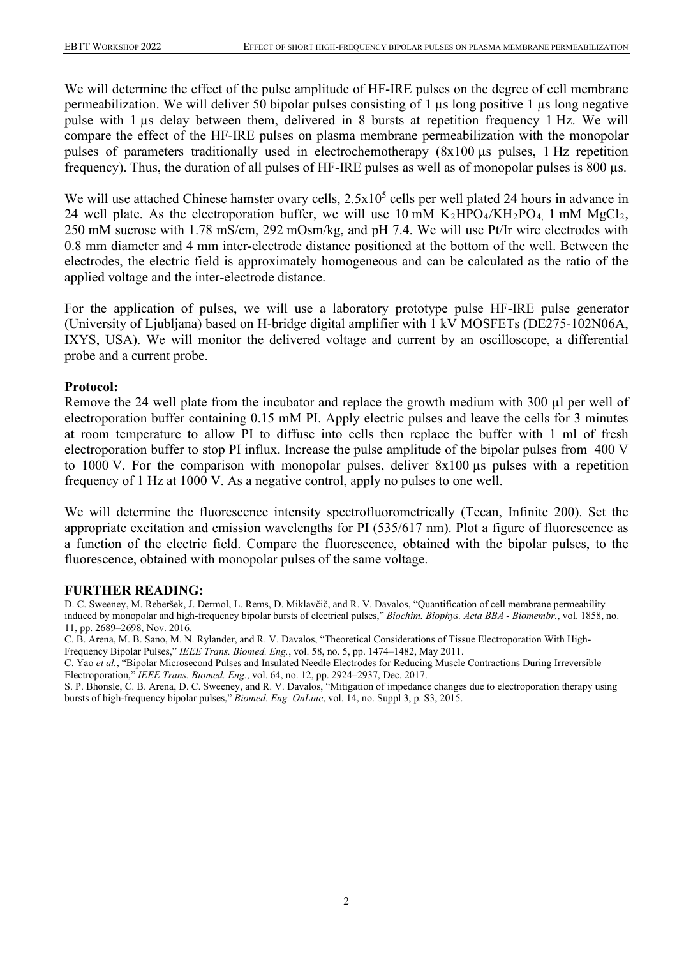We will determine the effect of the pulse amplitude of HF-IRE pulses on the degree of cell membrane permeabilization. We will deliver 50 bipolar pulses consisting of 1 µs long positive 1 µs long negative pulse with 1 µs delay between them, delivered in 8 bursts at repetition frequency 1 Hz. We will compare the effect of the HF-IRE pulses on plasma membrane permeabilization with the monopolar pulses of parameters traditionally used in electrochemotherapy (8x100 µs pulses, 1 Hz repetition frequency). Thus, the duration of all pulses of HF-IRE pulses as well as of monopolar pulses is 800 µs.

We will use attached Chinese hamster ovary cells,  $2.5x10<sup>5</sup>$  cells per well plated 24 hours in advance in 24 well plate. As the electroporation buffer, we will use 10 mM  $K_2HPO_4/KH_2PO_4$ , 1 mM  $MgCl_2$ , 250 mM sucrose with 1.78 mS/cm, 292 mOsm/kg, and pH 7.4. We will use Pt/Ir wire electrodes with 0.8 mm diameter and 4 mm inter-electrode distance positioned at the bottom of the well. Between the electrodes, the electric field is approximately homogeneous and can be calculated as the ratio of the applied voltage and the inter-electrode distance.

For the application of pulses, we will use a laboratory prototype pulse HF-IRE pulse generator (University of Ljubljana) based on H-bridge digital amplifier with 1 kV MOSFETs (DE275-102N06A, IXYS, USA). We will monitor the delivered voltage and current by an oscilloscope, a differential probe and a current probe.

## **Protocol:**

Remove the 24 well plate from the incubator and replace the growth medium with 300 µl per well of electroporation buffer containing 0.15 mM PI. Apply electric pulses and leave the cells for 3 minutes at room temperature to allow PI to diffuse into cells then replace the buffer with 1 ml of fresh electroporation buffer to stop PI influx. Increase the pulse amplitude of the bipolar pulses from 400 V to 1000 V. For the comparison with monopolar pulses, deliver 8x100 µs pulses with a repetition frequency of 1 Hz at 1000 V. As a negative control, apply no pulses to one well.

We will determine the fluorescence intensity spectrofluorometrically (Tecan, Infinite 200). Set the appropriate excitation and emission wavelengths for PI (535/617 nm). Plot a figure of fluorescence as a function of the electric field. Compare the fluorescence, obtained with the bipolar pulses, to the fluorescence, obtained with monopolar pulses of the same voltage.

### **FURTHER READING:**

D. C. Sweeney, M. Reberšek, J. Dermol, L. Rems, D. Miklavčič, and R. V. Davalos, "Quantification of cell membrane permeability induced by monopolar and high-frequency bipolar bursts of electrical pulses," *Biochim. Biophys. Acta BBA - Biomembr.*, vol. 1858, no. 11, pp. 2689–2698, Nov. 2016.

C. B. Arena, M. B. Sano, M. N. Rylander, and R. V. Davalos, "Theoretical Considerations of Tissue Electroporation With High-Frequency Bipolar Pulses," *IEEE Trans. Biomed. Eng.*, vol. 58, no. 5, pp. 1474–1482, May 2011.

C. Yao *et al.*, "Bipolar Microsecond Pulses and Insulated Needle Electrodes for Reducing Muscle Contractions During Irreversible Electroporation," *IEEE Trans. Biomed. Eng.*, vol. 64, no. 12, pp. 2924–2937, Dec. 2017.

S. P. Bhonsle, C. B. Arena, D. C. Sweeney, and R. V. Davalos, "Mitigation of impedance changes due to electroporation therapy using bursts of high-frequency bipolar pulses," *Biomed. Eng. OnLine*, vol. 14, no. Suppl 3, p. S3, 2015.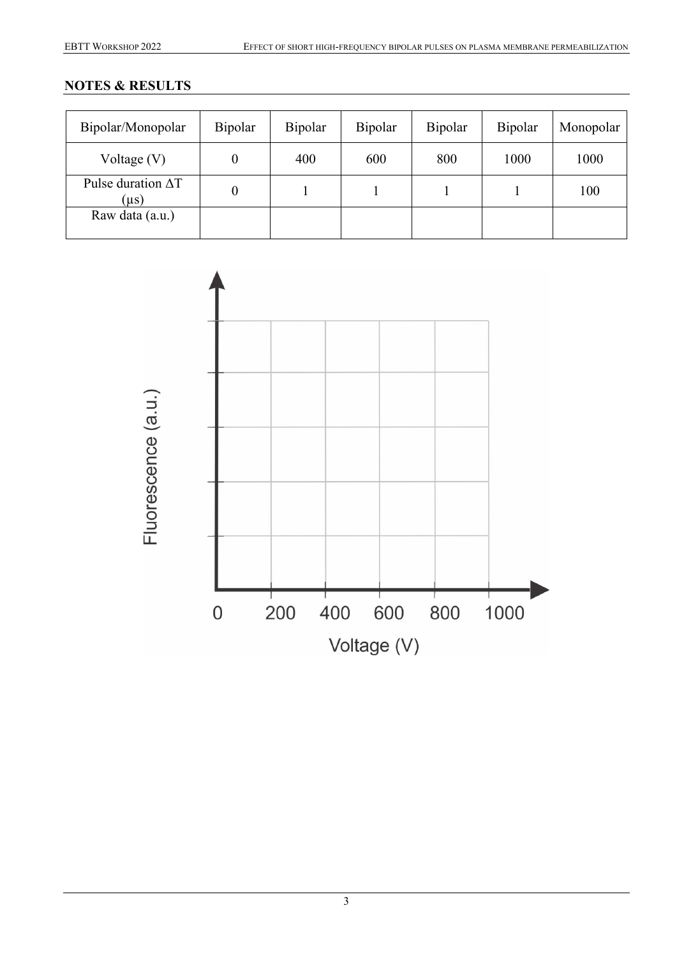# **NOTES & RESULTS**

| Bipolar/Monopolar                      | Bipolar | Bipolar | Bipolar | Bipolar | Bipolar | Monopolar |
|----------------------------------------|---------|---------|---------|---------|---------|-----------|
| Voltage $(V)$                          | 0       | 400     | 600     | 800     | 1000    | 1000      |
| Pulse duration $\Delta T$<br>$(\mu s)$ | 0       |         |         |         |         | 100       |
| Raw data (a.u.)                        |         |         |         |         |         |           |